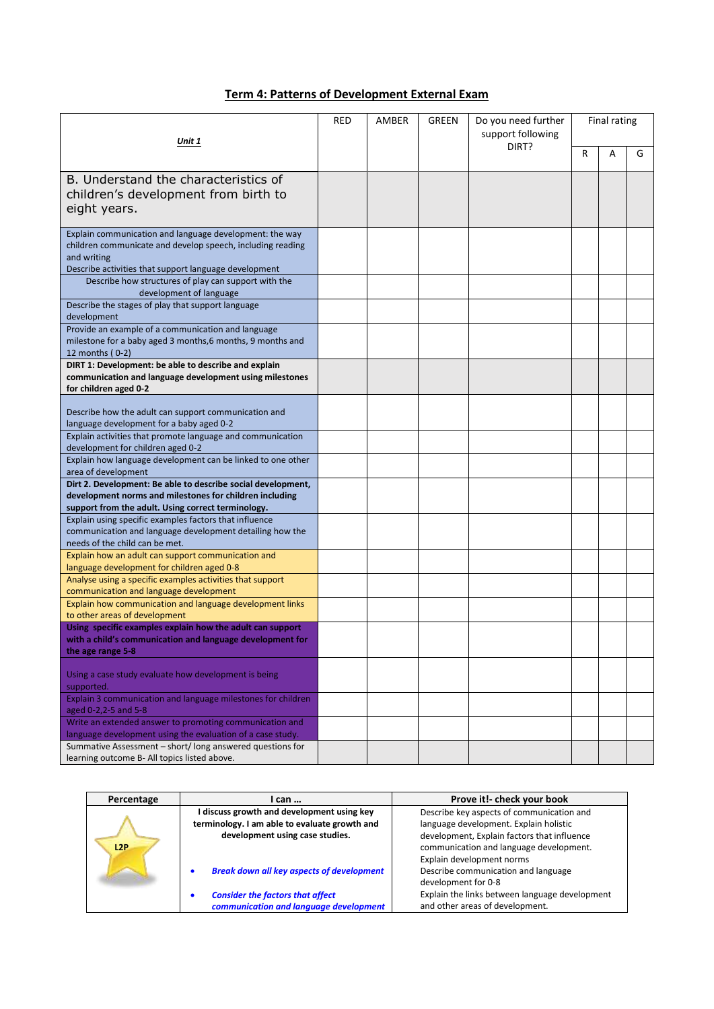## **Term 4: Patterns of Development External Exam**

| Unit 1                                                                                                                  |  | AMBER | <b>GREEN</b> | Do you need further<br>support following | Final rating |   |   |
|-------------------------------------------------------------------------------------------------------------------------|--|-------|--------------|------------------------------------------|--------------|---|---|
|                                                                                                                         |  |       |              | DIRT?                                    | R            | A | G |
| B. Understand the characteristics of                                                                                    |  |       |              |                                          |              |   |   |
| children's development from birth to                                                                                    |  |       |              |                                          |              |   |   |
| eight years.                                                                                                            |  |       |              |                                          |              |   |   |
| Explain communication and language development: the way                                                                 |  |       |              |                                          |              |   |   |
| children communicate and develop speech, including reading                                                              |  |       |              |                                          |              |   |   |
| and writing<br>Describe activities that support language development                                                    |  |       |              |                                          |              |   |   |
| Describe how structures of play can support with the                                                                    |  |       |              |                                          |              |   |   |
| development of language                                                                                                 |  |       |              |                                          |              |   |   |
| Describe the stages of play that support language                                                                       |  |       |              |                                          |              |   |   |
| development                                                                                                             |  |       |              |                                          |              |   |   |
| Provide an example of a communication and language<br>milestone for a baby aged 3 months, 6 months, 9 months and        |  |       |              |                                          |              |   |   |
| 12 months (0-2)                                                                                                         |  |       |              |                                          |              |   |   |
| DIRT 1: Development: be able to describe and explain                                                                    |  |       |              |                                          |              |   |   |
| communication and language development using milestones                                                                 |  |       |              |                                          |              |   |   |
| for children aged 0-2                                                                                                   |  |       |              |                                          |              |   |   |
| Describe how the adult can support communication and                                                                    |  |       |              |                                          |              |   |   |
| language development for a baby aged 0-2                                                                                |  |       |              |                                          |              |   |   |
| Explain activities that promote language and communication                                                              |  |       |              |                                          |              |   |   |
| development for children aged 0-2                                                                                       |  |       |              |                                          |              |   |   |
| Explain how language development can be linked to one other                                                             |  |       |              |                                          |              |   |   |
| area of development                                                                                                     |  |       |              |                                          |              |   |   |
| Dirt 2. Development: Be able to describe social development,<br>development norms and milestones for children including |  |       |              |                                          |              |   |   |
| support from the adult. Using correct terminology.                                                                      |  |       |              |                                          |              |   |   |
| Explain using specific examples factors that influence                                                                  |  |       |              |                                          |              |   |   |
| communication and language development detailing how the                                                                |  |       |              |                                          |              |   |   |
| needs of the child can be met.<br>Explain how an adult can support communication and                                    |  |       |              |                                          |              |   |   |
| language development for children aged 0-8                                                                              |  |       |              |                                          |              |   |   |
| Analyse using a specific examples activities that support                                                               |  |       |              |                                          |              |   |   |
| communication and language development                                                                                  |  |       |              |                                          |              |   |   |
| Explain how communication and language development links<br>to other areas of development                               |  |       |              |                                          |              |   |   |
| Using specific examples explain how the adult can support                                                               |  |       |              |                                          |              |   |   |
| with a child's communication and language development for                                                               |  |       |              |                                          |              |   |   |
| the age range 5-8                                                                                                       |  |       |              |                                          |              |   |   |
| Using a case study evaluate how development is being<br>supported.                                                      |  |       |              |                                          |              |   |   |
| Explain 3 communication and language milestones for children                                                            |  |       |              |                                          |              |   |   |
| aged 0-2,2-5 and 5-8<br>Write an extended answer to promoting communication and                                         |  |       |              |                                          |              |   |   |
| language development using the evaluation of a case study.                                                              |  |       |              |                                          |              |   |   |
| Summative Assessment - short/ long answered questions for<br>learning outcome B- All topics listed above.               |  |       |              |                                          |              |   |   |

| Percentage | l can                                                 | Prove it!- check your book                     |  |  |
|------------|-------------------------------------------------------|------------------------------------------------|--|--|
|            | I discuss growth and development using key            | Describe key aspects of communication and      |  |  |
|            | terminology. I am able to evaluate growth and         | language development. Explain holistic         |  |  |
|            | development using case studies.                       | development, Explain factors that influence    |  |  |
| L2P        |                                                       | communication and language development.        |  |  |
|            |                                                       | Explain development norms                      |  |  |
|            | <b>Break down all key aspects of development</b><br>٠ | Describe communication and language            |  |  |
|            |                                                       | development for 0-8                            |  |  |
|            | <b>Consider the factors that affect</b>               | Explain the links between language development |  |  |
|            | communication and language development                | and other areas of development.                |  |  |